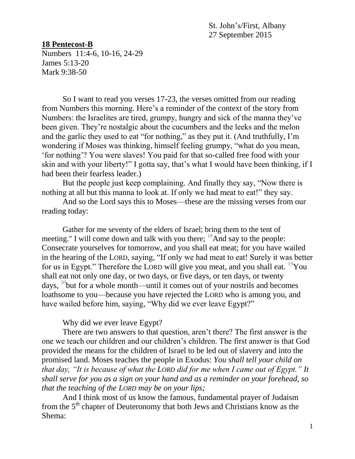St. John's/First, Albany 27 September 2015

## **18 Pentecost-B**

Numbers 11:4-6, 10-16, 24-29 James 5:13-20 Mark 9:38-50

So I want to read you verses 17-23, the verses omitted from our reading from Numbers this morning. Here's a reminder of the context of the story from Numbers: the Israelites are tired, grumpy, hungry and sick of the manna they've been given. They're nostalgic about the cucumbers and the leeks and the melon and the garlic they used to eat "for nothing," as they put it. (And truthfully, I'm wondering if Moses was thinking, himself feeling grumpy, "what do you mean, 'for nothing'? You were slaves! You paid for that so-called free food with your skin and with your liberty!" I gotta say, that's what I would have been thinking, if I had been their fearless leader.)

But the people just keep complaining. And finally they say, "Now there is nothing at all but this manna to look at. If only we had meat to eat!" they say.

And so the Lord says this to Moses—these are the missing verses from our reading today:

Gather for me seventy of the elders of Israel; bring them to the tent of meeting." I will come down and talk with you there;  $\frac{18}{8}$ And say to the people: Consecrate yourselves for tomorrow, and you shall eat meat; for you have wailed in the hearing of the LORD, saying, "If only we had meat to eat! Surely it was better for us in Egypt." Therefore the LORD will give you meat, and you shall eat.  $^{19}$ You shall eat not only one day, or two days, or five days, or ten days, or twenty days,  $20$  but for a whole month—until it comes out of your nostrils and becomes loathsome to you—because you have rejected the LORD who is among you, and have wailed before him, saying, "Why did we ever leave Egypt?"

## Why did we ever leave Egypt?

There are two answers to that question, aren't there? The first answer is the one we teach our children and our children's children. The first answer is that God provided the means for the children of Israel to be led out of slavery and into the promised land. Moses teaches the people in Exodus: *You shall tell your child on that day, "It is because of what the LORD did for me when I came out of Egypt." It shall serve for you as a sign on your hand and as a reminder on your forehead, so that the teaching of the LORD may be on your lips;*

And I think most of us know the famous, fundamental prayer of Judaism from the  $5<sup>th</sup>$  chapter of Deuteronomy that both Jews and Christians know as the Shema: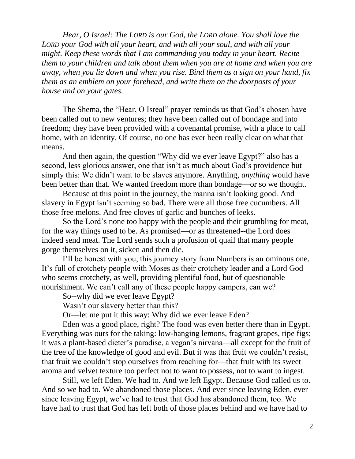*Hear, O Israel: The LORD is our God, the LORD alone. You shall love the LORD your God with all your heart, and with all your soul, and with all your might. Keep these words that I am commanding you today in your heart. Recite them to your children and talk about them when you are at home and when you are away, when you lie down and when you rise. Bind them as a sign on your hand, fix them as an emblem on your forehead, and write them on the doorposts of your house and on your gates.*

The Shema, the "Hear, O Isreal" prayer reminds us that God's chosen have been called out to new ventures; they have been called out of bondage and into freedom; they have been provided with a covenantal promise, with a place to call home, with an identity. Of course, no one has ever been really clear on what that means.

And then again, the question "Why did we ever leave Egypt?" also has a second, less glorious answer, one that isn't as much about God's providence but simply this: We didn't want to be slaves anymore. Anything, *anything* would have been better than that. We wanted freedom more than bondage—or so we thought.

Because at this point in the journey, the manna isn't looking good. And slavery in Egypt isn't seeming so bad. There were all those free cucumbers. All those free melons. And free cloves of garlic and bunches of leeks.

So the Lord's none too happy with the people and their grumbling for meat, for the way things used to be. As promised—or as threatened--the Lord does indeed send meat. The Lord sends such a profusion of quail that many people gorge themselves on it, sicken and then die.

I'll be honest with you, this journey story from Numbers is an ominous one. It's full of crotchety people with Moses as their crotchety leader and a Lord God who seems crotchety, as well, providing plentiful food, but of questionable nourishment. We can't call any of these people happy campers, can we?

So--why did we ever leave Egypt?

Wasn't our slavery better than this?

Or—let me put it this way: Why did we ever leave Eden?

Eden was a good place, right? The food was even better there than in Egypt. Everything was ours for the taking: low-hanging lemons, fragrant grapes, ripe figs; it was a plant-based dieter's paradise, a vegan's nirvana—all except for the fruit of the tree of the knowledge of good and evil. But it was that fruit we couldn't resist, that fruit we couldn't stop ourselves from reaching for—that fruit with its sweet aroma and velvet texture too perfect not to want to possess, not to want to ingest.

Still, we left Eden. We had to. And we left Egypt. Because God called us to. And so we had to. We abandoned those places. And ever since leaving Eden, ever since leaving Egypt, we've had to trust that God has abandoned them, too. We have had to trust that God has left both of those places behind and we have had to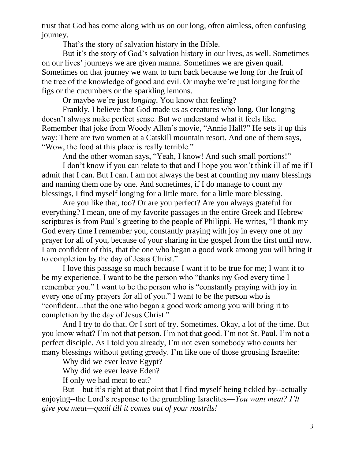trust that God has come along with us on our long, often aimless, often confusing journey.

That's the story of salvation history in the Bible.

But it's the story of God's salvation history in our lives, as well. Sometimes on our lives' journeys we are given manna. Sometimes we are given quail. Sometimes on that journey we want to turn back because we long for the fruit of the tree of the knowledge of good and evil. Or maybe we're just longing for the figs or the cucumbers or the sparkling lemons.

Or maybe we're just *longing*. You know that feeling?

Frankly, I believe that God made us as creatures who long. Our longing doesn't always make perfect sense. But we understand what it feels like. Remember that joke from Woody Allen's movie, "Annie Hall?" He sets it up this way: There are two women at a Catskill mountain resort. And one of them says, "Wow, the food at this place is really terrible."

And the other woman says, "Yeah, I know! And such small portions!"

I don't know if you can relate to that and I hope you won't think ill of me if I admit that I can. But I can. I am not always the best at counting my many blessings and naming them one by one. And sometimes, if I do manage to count my blessings, I find myself longing for a little more, for a little more blessing.

Are you like that, too? Or are you perfect? Are you always grateful for everything? I mean, one of my favorite passages in the entire Greek and Hebrew scriptures is from Paul's greeting to the people of Philippi. He writes, "I thank my God every time I remember you, constantly praying with joy in every one of my prayer for all of you, because of your sharing in the gospel from the first until now. I am confident of this, that the one who began a good work among you will bring it to completion by the day of Jesus Christ."

I love this passage so much because I want it to be true for me; I want it to be my experience. I want to be the person who "thanks my God every time I remember you." I want to be the person who is "constantly praying with joy in every one of my prayers for all of you." I want to be the person who is "confident…that the one who began a good work among you will bring it to completion by the day of Jesus Christ."

And I try to do that. Or I sort of try. Sometimes. Okay, a lot of the time. But you know what? I'm not that person. I'm not that good. I'm not St. Paul. I'm not a perfect disciple. As I told you already, I'm not even somebody who counts her many blessings without getting greedy. I'm like one of those grousing Israelite:

Why did we ever leave Egypt?

Why did we ever leave Eden?

If only we had meat to eat?

But—but it's right at that point that I find myself being tickled by--actually enjoying--the Lord's response to the grumbling Israelites—*You want meat? I'll give you meat—quail till it comes out of your nostrils!*